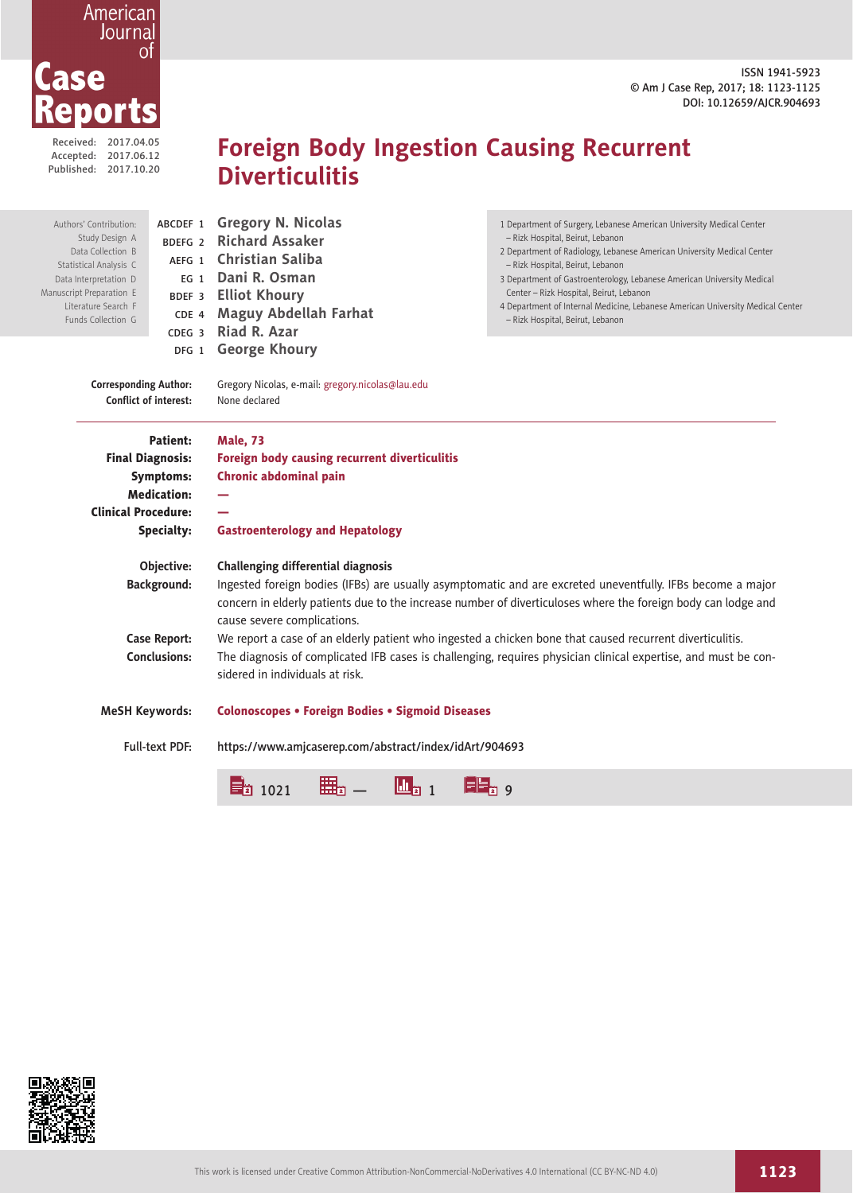ISSN 1941-5923 © Am J Case Rep, 2017; 18: 1123-1125 DOI: 10.12659/AJCR.904693

| 2017.04.05 |
|------------|
| 2017.06.12 |
| 2017.10.20 |
|            |

Ma

# **Foreign Body Ingestion Causing Recurrent Diverticulitis**

| Authors' Contribution:<br>Study Design A<br>Data Collection B<br>Statistical Analysis C<br>Data Interpretation D<br>nuscript Preparation E<br>Literature Search F<br>Funds Collection G | ABCDEF 1<br>BDEFG <sub>2</sub><br>AEFG 1<br>EG <sub>1</sub><br>BDEF 3<br>CDE 4<br>CDEG <sub>3</sub>                                                                                                                                                                       | <b>Gregory N. Nicolas</b><br><b>Richard Assaker</b><br><b>Christian Saliba</b><br>Dani R. Osman<br><b>Elliot Khoury</b><br><b>Maguy Abdellah Farhat</b><br>Riad R. Azar | 1 Department of Surgery, Lebanese American University Medical Center<br>- Rizk Hospital, Beirut, Lebanon<br>2 Department of Radiology, Lebanese American University Medical Center<br>- Rizk Hospital, Beirut, Lebanon<br>3 Department of Gastroenterology, Lebanese American University Medical<br>Center - Rizk Hospital, Beirut, Lebanon<br>4 Department of Internal Medicine, Lebanese American University Medical Center<br>- Rizk Hospital, Beirut, Lebanon |  |
|-----------------------------------------------------------------------------------------------------------------------------------------------------------------------------------------|---------------------------------------------------------------------------------------------------------------------------------------------------------------------------------------------------------------------------------------------------------------------------|-------------------------------------------------------------------------------------------------------------------------------------------------------------------------|-------------------------------------------------------------------------------------------------------------------------------------------------------------------------------------------------------------------------------------------------------------------------------------------------------------------------------------------------------------------------------------------------------------------------------------------------------------------|--|
|                                                                                                                                                                                         | DFG 1                                                                                                                                                                                                                                                                     | <b>George Khoury</b>                                                                                                                                                    |                                                                                                                                                                                                                                                                                                                                                                                                                                                                   |  |
| <b>Corresponding Author:</b><br><b>Conflict of interest:</b>                                                                                                                            |                                                                                                                                                                                                                                                                           | Gregory Nicolas, e-mail: gregory.nicolas@lau.edu<br>None declared                                                                                                       |                                                                                                                                                                                                                                                                                                                                                                                                                                                                   |  |
| Patient:                                                                                                                                                                                |                                                                                                                                                                                                                                                                           | <b>Male, 73</b>                                                                                                                                                         |                                                                                                                                                                                                                                                                                                                                                                                                                                                                   |  |
| <b>Final Diagnosis:</b><br><b>Symptoms:</b><br><b>Medication:</b>                                                                                                                       |                                                                                                                                                                                                                                                                           | Foreign body causing recurrent diverticulitis                                                                                                                           |                                                                                                                                                                                                                                                                                                                                                                                                                                                                   |  |
|                                                                                                                                                                                         |                                                                                                                                                                                                                                                                           | <b>Chronic abdominal pain</b>                                                                                                                                           |                                                                                                                                                                                                                                                                                                                                                                                                                                                                   |  |
|                                                                                                                                                                                         |                                                                                                                                                                                                                                                                           |                                                                                                                                                                         |                                                                                                                                                                                                                                                                                                                                                                                                                                                                   |  |
| <b>Clinical Procedure:</b>                                                                                                                                                              |                                                                                                                                                                                                                                                                           |                                                                                                                                                                         |                                                                                                                                                                                                                                                                                                                                                                                                                                                                   |  |
|                                                                                                                                                                                         | <b>Specialty:</b>                                                                                                                                                                                                                                                         | <b>Gastroenterology and Hepatology</b>                                                                                                                                  |                                                                                                                                                                                                                                                                                                                                                                                                                                                                   |  |
|                                                                                                                                                                                         | Objective:                                                                                                                                                                                                                                                                | Challenging differential diagnosis                                                                                                                                      |                                                                                                                                                                                                                                                                                                                                                                                                                                                                   |  |
|                                                                                                                                                                                         | Background:<br>Ingested foreign bodies (IFBs) are usually asymptomatic and are excreted uneventfully. IFBs become a major<br>concern in elderly patients due to the increase number of diverticuloses where the foreign body can lodge and<br>cause severe complications. |                                                                                                                                                                         |                                                                                                                                                                                                                                                                                                                                                                                                                                                                   |  |
| <b>Case Report:</b>                                                                                                                                                                     |                                                                                                                                                                                                                                                                           |                                                                                                                                                                         | We report a case of an elderly patient who ingested a chicken bone that caused recurrent diverticulitis.                                                                                                                                                                                                                                                                                                                                                          |  |
|                                                                                                                                                                                         | <b>Conclusions:</b><br>The diagnosis of complicated IFB cases is challenging, requires physician clinical expertise, and must be con-<br>sidered in individuals at risk.                                                                                                  |                                                                                                                                                                         |                                                                                                                                                                                                                                                                                                                                                                                                                                                                   |  |
|                                                                                                                                                                                         | <b>Colonoscopes • Foreign Bodies • Sigmoid Diseases</b><br><b>MeSH Keywords:</b>                                                                                                                                                                                          |                                                                                                                                                                         |                                                                                                                                                                                                                                                                                                                                                                                                                                                                   |  |
|                                                                                                                                                                                         | Full-text PDF:<br>https://www.amjcaserep.com/abstract/index/idArt/904693                                                                                                                                                                                                  |                                                                                                                                                                         |                                                                                                                                                                                                                                                                                                                                                                                                                                                                   |  |
|                                                                                                                                                                                         |                                                                                                                                                                                                                                                                           | $\mathbf{u}_{\mathbf{i}1}$<br>$\Xi_2$ 1021                                                                                                                              | ia 9                                                                                                                                                                                                                                                                                                                                                                                                                                                              |  |

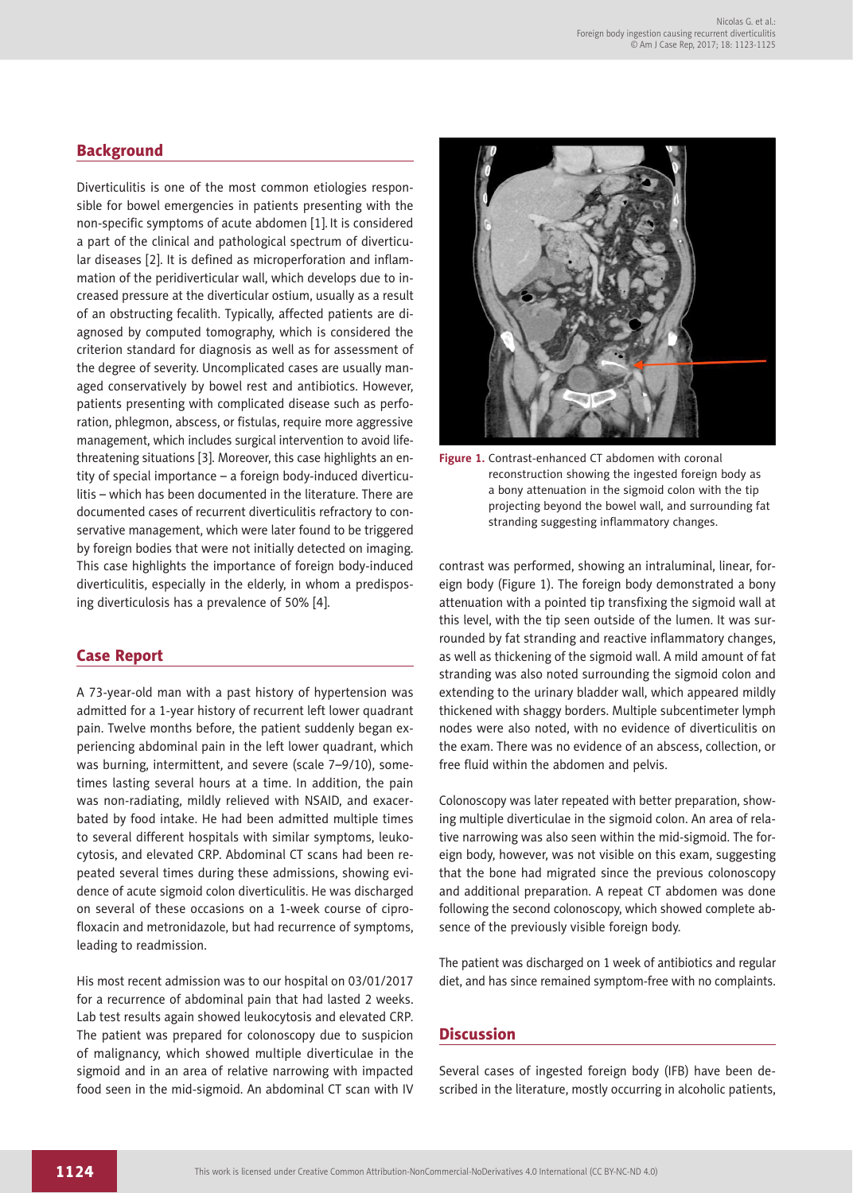## **Background**

Diverticulitis is one of the most common etiologies responsible for bowel emergencies in patients presenting with the non-specific symptoms of acute abdomen [1]. It is considered a part of the clinical and pathological spectrum of diverticular diseases [2]. It is defined as microperforation and inflammation of the peridiverticular wall, which develops due to increased pressure at the diverticular ostium, usually as a result of an obstructing fecalith. Typically, affected patients are diagnosed by computed tomography, which is considered the criterion standard for diagnosis as well as for assessment of the degree of severity. Uncomplicated cases are usually managed conservatively by bowel rest and antibiotics. However, patients presenting with complicated disease such as perforation, phlegmon, abscess, or fistulas, require more aggressive management, which includes surgical intervention to avoid lifethreatening situations [3]. Moreover, this case highlights an entity of special importance – a foreign body-induced diverticulitis – which has been documented in the literature. There are documented cases of recurrent diverticulitis refractory to conservative management, which were later found to be triggered by foreign bodies that were not initially detected on imaging. This case highlights the importance of foreign body-induced diverticulitis, especially in the elderly, in whom a predisposing diverticulosis has a prevalence of 50% [4].

### Case Report

A 73-year-old man with a past history of hypertension was admitted for a 1-year history of recurrent left lower quadrant pain. Twelve months before, the patient suddenly began experiencing abdominal pain in the left lower quadrant, which was burning, intermittent, and severe (scale 7–9/10), sometimes lasting several hours at a time. In addition, the pain was non-radiating, mildly relieved with NSAID, and exacerbated by food intake. He had been admitted multiple times to several different hospitals with similar symptoms, leukocytosis, and elevated CRP. Abdominal CT scans had been repeated several times during these admissions, showing evidence of acute sigmoid colon diverticulitis. He was discharged on several of these occasions on a 1-week course of ciprofloxacin and metronidazole, but had recurrence of symptoms, leading to readmission.

His most recent admission was to our hospital on 03/01/2017 for a recurrence of abdominal pain that had lasted 2 weeks. Lab test results again showed leukocytosis and elevated CRP. The patient was prepared for colonoscopy due to suspicion of malignancy, which showed multiple diverticulae in the sigmoid and in an area of relative narrowing with impacted food seen in the mid-sigmoid. An abdominal CT scan with IV



**Figure 1.** Contrast-enhanced CT abdomen with coronal reconstruction showing the ingested foreign body as a bony attenuation in the sigmoid colon with the tip projecting beyond the bowel wall, and surrounding fat stranding suggesting inflammatory changes.

contrast was performed, showing an intraluminal, linear, foreign body (Figure 1). The foreign body demonstrated a bony attenuation with a pointed tip transfixing the sigmoid wall at this level, with the tip seen outside of the lumen. It was surrounded by fat stranding and reactive inflammatory changes, as well as thickening of the sigmoid wall. A mild amount of fat stranding was also noted surrounding the sigmoid colon and extending to the urinary bladder wall, which appeared mildly thickened with shaggy borders. Multiple subcentimeter lymph nodes were also noted, with no evidence of diverticulitis on the exam. There was no evidence of an abscess, collection, or free fluid within the abdomen and pelvis.

Colonoscopy was later repeated with better preparation, showing multiple diverticulae in the sigmoid colon. An area of relative narrowing was also seen within the mid-sigmoid. The foreign body, however, was not visible on this exam, suggesting that the bone had migrated since the previous colonoscopy and additional preparation. A repeat CT abdomen was done following the second colonoscopy, which showed complete absence of the previously visible foreign body.

The patient was discharged on 1 week of antibiotics and regular diet, and has since remained symptom-free with no complaints.

## **Discussion**

Several cases of ingested foreign body (IFB) have been described in the literature, mostly occurring in alcoholic patients,